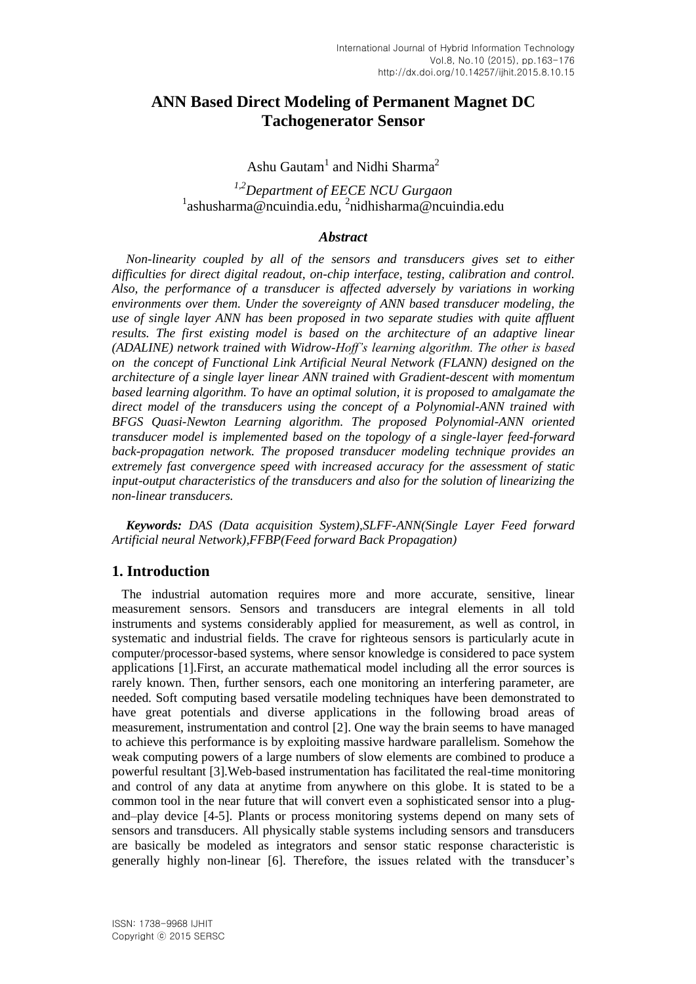# **ANN Based Direct Modeling of Permanent Magnet DC Tachogenerator Sensor**

Ashu Gautam<sup>1</sup> and Nidhi Sharma<sup>2</sup>

*1,2Department of EECE NCU Gurgaon* <sup>1</sup>ashusharma@ncuindia.edu, <sup>2</sup>nidhisharma@ncuindia.edu

#### *Abstract*

*Non-linearity coupled by all of the sensors and transducers gives set to either difficulties for direct digital readout, on-chip interface, testing, calibration and control. Also, the performance of a transducer is affected adversely by variations in working environments over them. Under the sovereignty of ANN based transducer modeling, the use of single layer ANN has been proposed in two separate studies with quite affluent results. The first existing model is based on the architecture of an adaptive linear (ADALINE) network trained with Widrow-Hoff's learning algorithm. The other is based on the concept of Functional Link Artificial Neural Network (FLANN) designed on the architecture of a single layer linear ANN trained with Gradient-descent with momentum based learning algorithm. To have an optimal solution, it is proposed to amalgamate the direct model of the transducers using the concept of a Polynomial-ANN trained with BFGS Quasi-Newton Learning algorithm. The proposed Polynomial-ANN oriented transducer model is implemented based on the topology of a single-layer feed-forward back-propagation network. The proposed transducer modeling technique provides an extremely fast convergence speed with increased accuracy for the assessment of static input-output characteristics of the transducers and also for the solution of linearizing the non-linear transducers.* 

*Keywords: DAS (Data acquisition System),SLFF-ANN(Single Layer Feed forward Artificial neural Network),FFBP(Feed forward Back Propagation)*

### **1. Introduction**

 The industrial automation requires more and more accurate, sensitive, linear measurement sensors. Sensors and transducers are integral elements in all told instruments and systems considerably applied for measurement, as well as control, in systematic and industrial fields. The crave for righteous sensors is particularly acute in computer/processor-based systems, where sensor knowledge is considered to pace system applications [1].First, an accurate mathematical model including all the error sources is rarely known. Then, further sensors, each one monitoring an interfering parameter, are needed. Soft computing based versatile modeling techniques have been demonstrated to have great potentials and diverse applications in the following broad areas of measurement, instrumentation and control [2]. One way the brain seems to have managed to achieve this performance is by exploiting massive hardware parallelism. Somehow the weak computing powers of a large numbers of slow elements are combined to produce a powerful resultant [3].Web-based instrumentation has facilitated the real-time monitoring and control of any data at anytime from anywhere on this globe. It is stated to be a common tool in the near future that will convert even a sophisticated sensor into a plugand–play device [4-5]. Plants or process monitoring systems depend on many sets of sensors and transducers. All physically stable systems including sensors and transducers are basically be modeled as integrators and sensor static response characteristic is generally highly non-linear [6]. Therefore, the issues related with the transducer's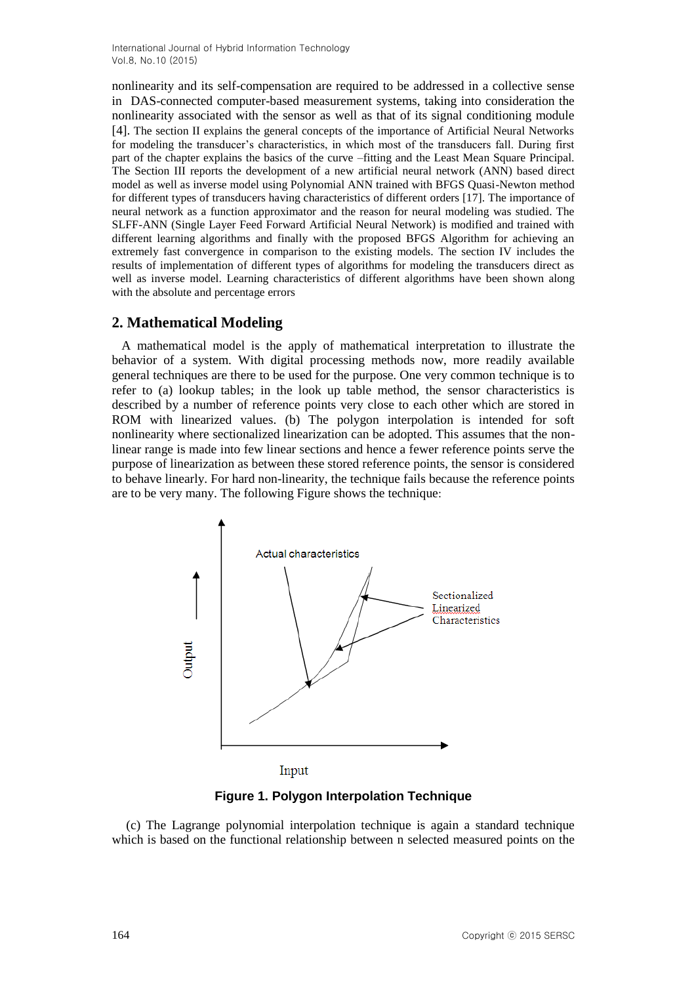nonlinearity and its self-compensation are required to be addressed in a collective sense in DAS-connected computer-based measurement systems, taking into consideration the nonlinearity associated with the sensor as well as that of its signal conditioning module [4]. The section II explains the general concepts of the importance of Artificial Neural Networks for modeling the transducer's characteristics, in which most of the transducers fall. During first part of the chapter explains the basics of the curve –fitting and the Least Mean Square Principal. The Section III reports the development of a new artificial neural network (ANN) based direct model as well as inverse model using Polynomial ANN trained with BFGS Quasi-Newton method for different types of transducers having characteristics of different orders [17]. The importance of neural network as a function approximator and the reason for neural modeling was studied. The SLFF-ANN (Single Layer Feed Forward Artificial Neural Network) is modified and trained with different learning algorithms and finally with the proposed BFGS Algorithm for achieving an extremely fast convergence in comparison to the existing models. The section IV includes the results of implementation of different types of algorithms for modeling the transducers direct as well as inverse model. Learning characteristics of different algorithms have been shown along with the absolute and percentage errors

## **2. Mathematical Modeling**

 A mathematical model is the apply of mathematical interpretation to illustrate the behavior of a system. With digital processing methods now, more readily available general techniques are there to be used for the purpose. One very common technique is to refer to (a) lookup tables; in the look up table method, the sensor characteristics is described by a number of reference points very close to each other which are stored in ROM with linearized values. (b) The polygon interpolation is intended for soft nonlinearity where sectionalized linearization can be adopted. This assumes that the nonlinear range is made into few linear sections and hence a fewer reference points serve the purpose of linearization as between these stored reference points, the sensor is considered to behave linearly. For hard non-linearity, the technique fails because the reference points are to be very many. The following Figure shows the technique:



**Figure 1. Polygon Interpolation Technique**

(c) The Lagrange polynomial interpolation technique is again a standard technique which is based on the functional relationship between n selected measured points on the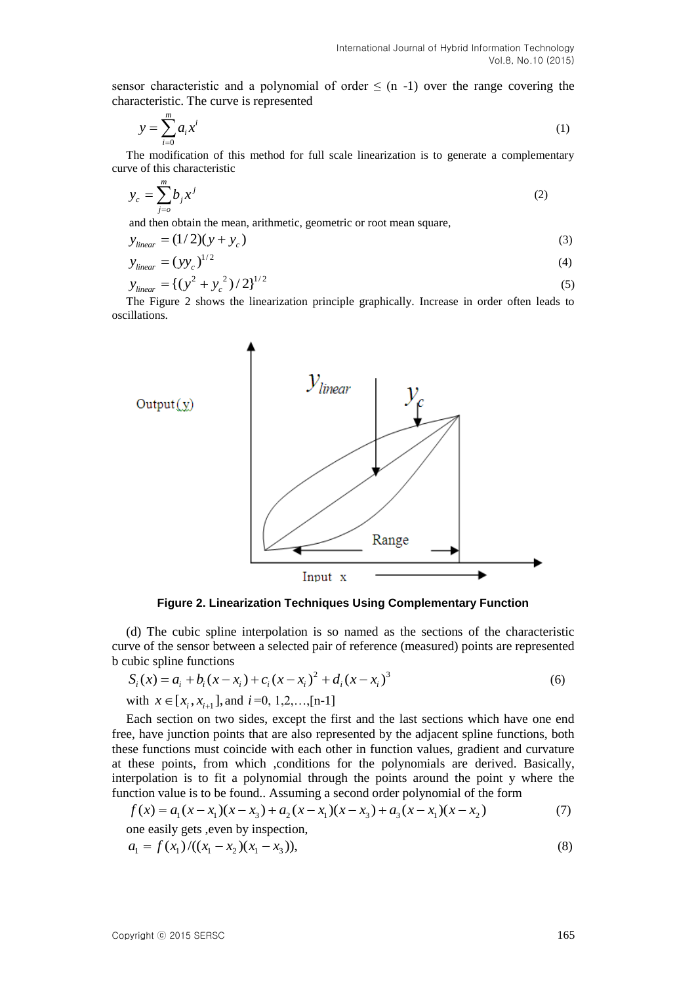sensor characteristic and a polynomial of order  $\leq$  (n -1) over the range covering the characteristic. The curve is represented

$$
y = \sum_{i=0}^{m} a_i x^i \tag{1}
$$

The modification of this method for full scale linearization is to generate a complementary curve of this characteristic

$$
y_c = \sum_{j=0}^{m} b_j x^j \tag{2}
$$

and then obtain the mean, arithmetic, geometric or root mean square,

$$
y_{linear} = (1/2)(y + y_c)
$$
 (3)

$$
y_{linear} = (yy_c)^{1/2}
$$
  
\n
$$
y_{linear} = \{(y^2 + y_c^2)/2\}^{1/2}
$$
\n(4)

The Figure 2 shows the linearization principle graphically. Increase in order often leads to oscillations.



**Figure 2. Linearization Techniques Using Complementary Function**

(d) The cubic spline interpolation is so named as the sections of the characteristic curve of the sensor between a selected pair of reference (measured) points are represented<br>b cubic spline functions<br> $S_i(x) = a_i + b_i(x - x_i) + c_i(x - x_i)^2 + d_i(x - x_i)^3$  (6) b cubic spline functions

$$
S_i(x) = a_i + b_i(x - x_i) + c_i(x - x_i)^2 + d_i(x - x_i)^3
$$
\n<sup>(6)</sup>

with  $x \in [x_i, x_{i+1}]$ , and  $i=0, 1, 2, \ldots, [n-1]$ 

Each section on two sides, except the first and the last sections which have one end free, have junction points that are also represented by the adjacent spline functions, both these functions must coincide with each other in function values, gradient and curvature at these points, from which ,conditions for the polynomials are derived. Basically, at these points, from which ,conditions for the polynomials are derived. Basically, interpolation is to fit a polynomial through the points around the point y where the function value is to be found. Assuming a second ord function value is to be found.. Assuming a second order polynomial of the form

$$
f(x) = a_1(x - x_1)(x - x_3) + a_2(x - x_1)(x - x_3) + a_3(x - x_1)(x - x_2)
$$
\n(7)

one easily gets ,even by inspection,  
\n
$$
a_1 = f(x_1) / ((x_1 - x_2)(x_1 - x_3)),
$$
\n(8)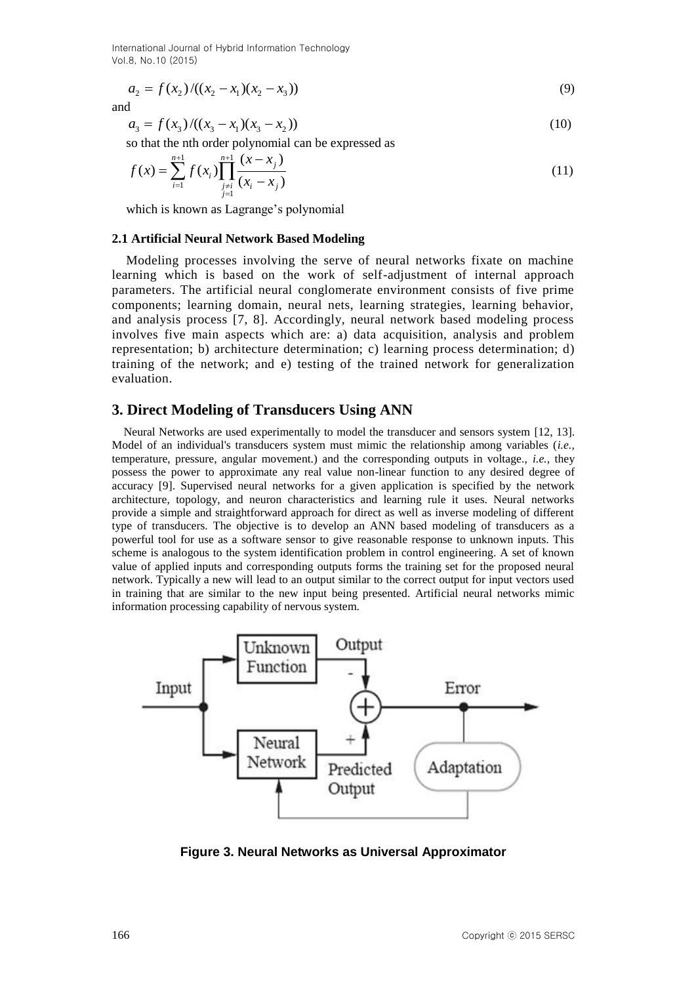$$
a_2 = f(x_2) / ((x_2 - x_1)(x_2 - x_3))
$$
\n(9)

and

$$
a_3 = f(x_3) / ((x_3 - x_1)(x_3 - x_2))
$$
\n(10)

so that the nth order polynomial can be expressed as  
\n
$$
f(x) = \sum_{i=1}^{n+1} f(x_i) \prod_{\substack{j=i \ j=1}}^{n+1} \frac{(x - x_j)}{(x_i - x_j)}
$$
\n(11)

which is known as Lagrange's polynomial

#### **2.1 Artificial Neural Network Based Modeling**

 Modeling processes involving the serve of neural networks fixate on machine learning which is based on the work of self-adjustment of internal approach parameters. The artificial neural conglomerate environment consists of five prime components; learning domain, neural nets, learning strategies, learning behavior, and analysis process [7, 8]. Accordingly, neural network based modeling process involves five main aspects which are: a) data acquisition, analysis and problem representation; b) architecture determination; c) learning process determination; d) training of the network; and e) testing of the trained network for generalization evaluation.

#### **3. Direct Modeling of Transducers Using ANN**

 Neural Networks are used experimentally to model the transducer and sensors system [12, 13]. Model of an individual's transducers system must mimic the relationship among variables (*i.e.,* temperature, pressure, angular movement.) and the corresponding outputs in voltage., *i.e.,* they possess the power to approximate any real value non-linear function to any desired degree of accuracy [9]. Supervised neural networks for a given application is specified by the network architecture, topology, and neuron characteristics and learning rule it uses. Neural networks provide a simple and straightforward approach for direct as well as inverse modeling of different type of transducers. The objective is to develop an ANN based modeling of transducers as a powerful tool for use as a software sensor to give reasonable response to unknown inputs. This scheme is analogous to the system identification problem in control engineering. A set of known value of applied inputs and corresponding outputs forms the training set for the proposed neural network. Typically a new will lead to an output similar to the correct output for input vectors used in training that are similar to the new input being presented. Artificial neural networks mimic information processing capability of nervous system.



**Figure 3. Neural Networks as Universal Approximator**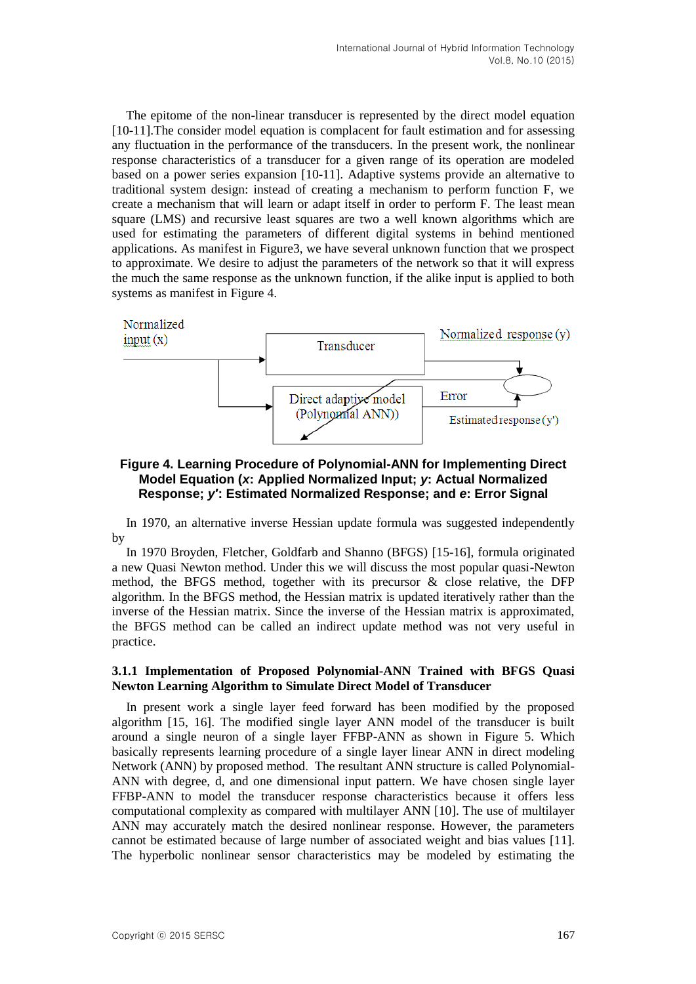The epitome of the non-linear transducer is represented by the direct model equation [10-11].The consider model equation is complacent for fault estimation and for assessing any fluctuation in the performance of the transducers. In the present work, the nonlinear response characteristics of a transducer for a given range of its operation are modeled based on a power series expansion [10-11]. Adaptive systems provide an alternative to traditional system design: instead of creating a mechanism to perform function F, we create a mechanism that will learn or adapt itself in order to perform F. The least mean square (LMS) and recursive least squares are two a well known algorithms which are used for estimating the parameters of different digital systems in behind mentioned applications. As manifest in Figure3, we have several unknown function that we prospect to approximate. We desire to adjust the parameters of the network so that it will express the much the same response as the unknown function, if the alike input is applied to both systems as manifest in Figure 4.



### **Figure 4. Learning Procedure of Polynomial-ANN for Implementing Direct Model Equation (***x***: Applied Normalized Input;** *y***: Actual Normalized Response;** *y***′: Estimated Normalized Response; and** *e***: Error Signal**

In 1970, an alternative inverse Hessian update formula was suggested independently by

In 1970 Broyden, Fletcher, Goldfarb and Shanno (BFGS) [15-16], formula originated a new Quasi Newton method. Under this we will discuss the most popular quasi-Newton method, the BFGS method, together with its precursor  $\&$  close relative, the DFP algorithm. In the BFGS method, the Hessian matrix is updated iteratively rather than the inverse of the Hessian matrix. Since the inverse of the Hessian matrix is approximated, the BFGS method can be called an indirect update method was not very useful in practice.

#### **3.1.1 Implementation of Proposed Polynomial-ANN Trained with BFGS Quasi Newton Learning Algorithm to Simulate Direct Model of Transducer**

In present work a single layer feed forward has been modified by the proposed algorithm [15, 16]. The modified single layer ANN model of the transducer is built around a single neuron of a single layer FFBP-ANN as shown in Figure 5. Which basically represents learning procedure of a single layer linear ANN in direct modeling Network (ANN) by proposed method. The resultant ANN structure is called Polynomial-ANN with degree, d, and one dimensional input pattern. We have chosen single layer FFBP-ANN to model the transducer response characteristics because it offers less computational complexity as compared with multilayer ANN [10]. The use of multilayer ANN may accurately match the desired nonlinear response. However, the parameters cannot be estimated because of large number of associated weight and bias values [11]. The hyperbolic nonlinear sensor characteristics may be modeled by estimating the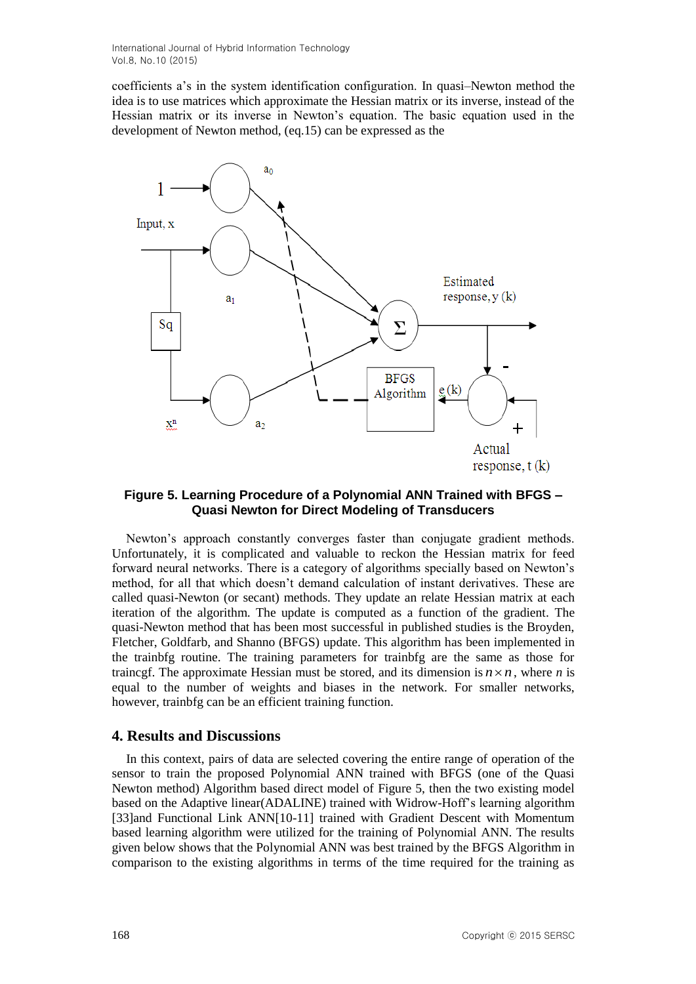coefficients a's in the system identification configuration. In quasi–Newton method the idea is to use matrices which approximate the Hessian matrix or its inverse, instead of the Hessian matrix or its inverse in Newton's equation. The basic equation used in the development of Newton method, (eq.15) can be expressed as the



### **Figure 5. Learning Procedure of a Polynomial ANN Trained with BFGS – Quasi Newton for Direct Modeling of Transducers**

Newton's approach constantly converges faster than conjugate gradient methods. Unfortunately, it is complicated and valuable to reckon the Hessian matrix for feed forward neural networks. There is a category of algorithms specially based on Newton's method, for all that which doesn't demand calculation of instant derivatives. These are called quasi-Newton (or secant) methods. They update an relate Hessian matrix at each iteration of the algorithm. The update is computed as a function of the gradient. The quasi-Newton method that has been most successful in published studies is the Broyden, Fletcher, Goldfarb, and Shanno (BFGS) update. This algorithm has been implemented in the trainbfg routine. The training parameters for trainbfg are the same as those for traincgf. The approximate Hessian must be stored, and its dimension is  $n \times n$ , where *n* is equal to the number of weights and biases in the network. For smaller networks, however, trainbfg can be an efficient training function.

#### **4. Results and Discussions**

In this context, pairs of data are selected covering the entire range of operation of the sensor to train the proposed Polynomial ANN trained with BFGS (one of the Quasi Newton method) Algorithm based direct model of Figure 5, then the two existing model based on the Adaptive linear(ADALINE) trained with Widrow-Hoff's learning algorithm [33]and Functional Link ANN[10-11] trained with Gradient Descent with Momentum based learning algorithm were utilized for the training of Polynomial ANN. The results given below shows that the Polynomial ANN was best trained by the BFGS Algorithm in comparison to the existing algorithms in terms of the time required for the training as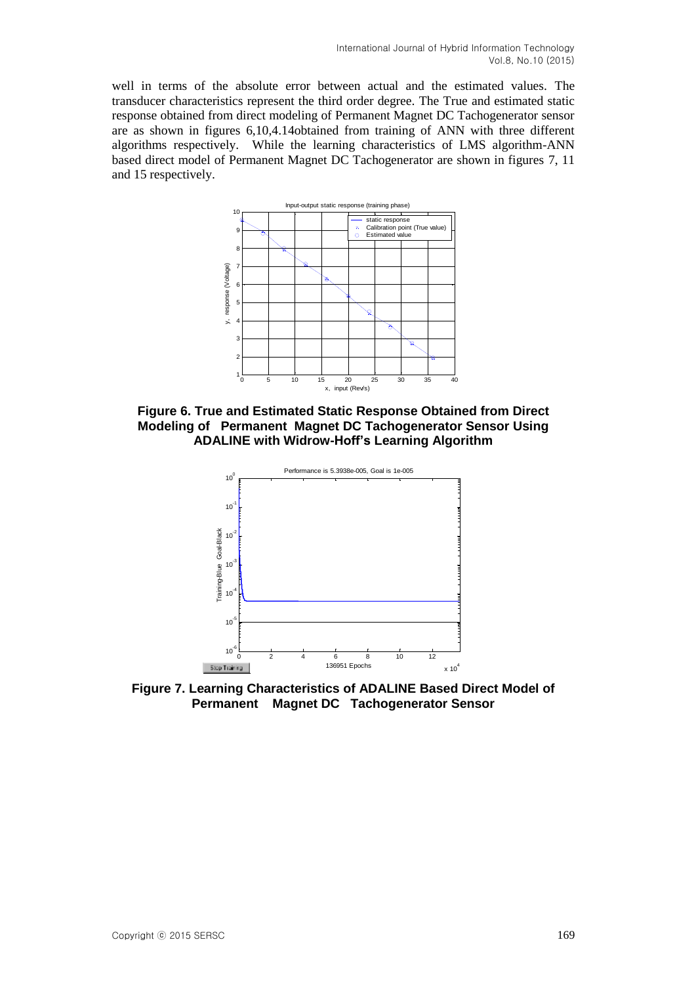well in terms of the absolute error between actual and the estimated values. The transducer characteristics represent the third order degree. The True and estimated static response obtained from direct modeling of Permanent Magnet DC Tachogenerator sensor are as shown in figures 6,10,4.14obtained from training of ANN with three different algorithms respectively. While the learning characteristics of LMS algorithm-ANN based direct model of Permanent Magnet DC Tachogenerator are shown in figures 7, 11 and 15 respectively.



**Figure 6. True and Estimated Static Response Obtained from Direct Modeling of Permanent Magnet DC Tachogenerator Sensor Using ADALINE with Widrow-Hoff's Learning Algorithm**



**Figure 7. Learning Characteristics of ADALINE Based Direct Model of Permanent Magnet DC Tachogenerator Sensor**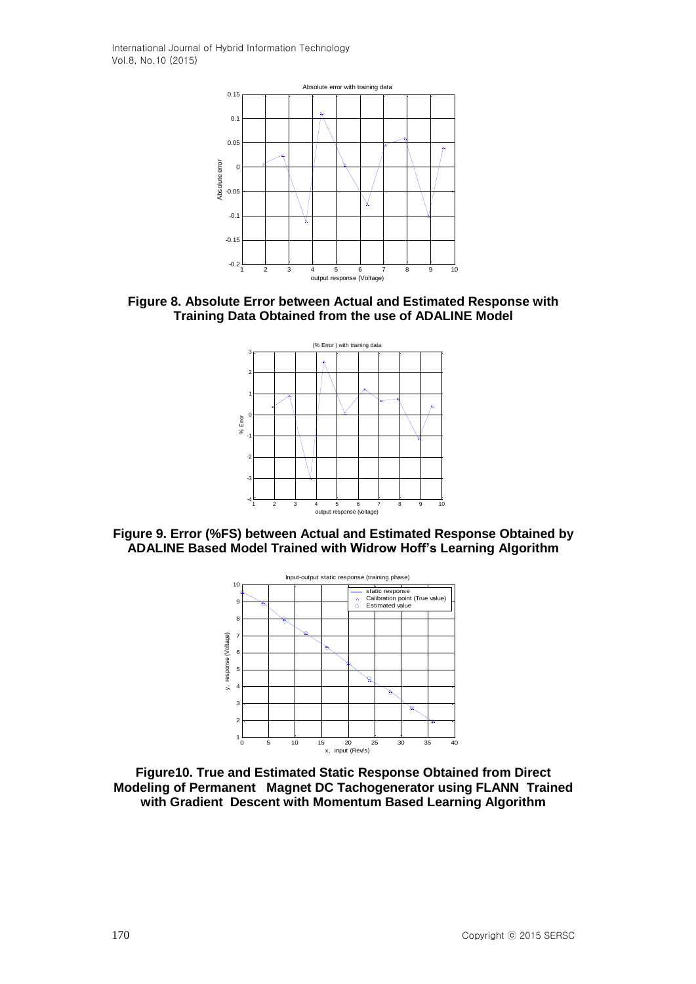

**Figure 8. Absolute Error between Actual and Estimated Response with Training Data Obtained from the use of ADALINE Model**



**Figure 9. Error (%FS) between Actual and Estimated Response Obtained by ADALINE Based Model Trained with Widrow Hoff's Learning Algorithm**



**Figure10. True and Estimated Static Response Obtained from Direct Modeling of Permanent Magnet DC Tachogenerator using FLANN Trained with Gradient Descent with Momentum Based Learning Algorithm**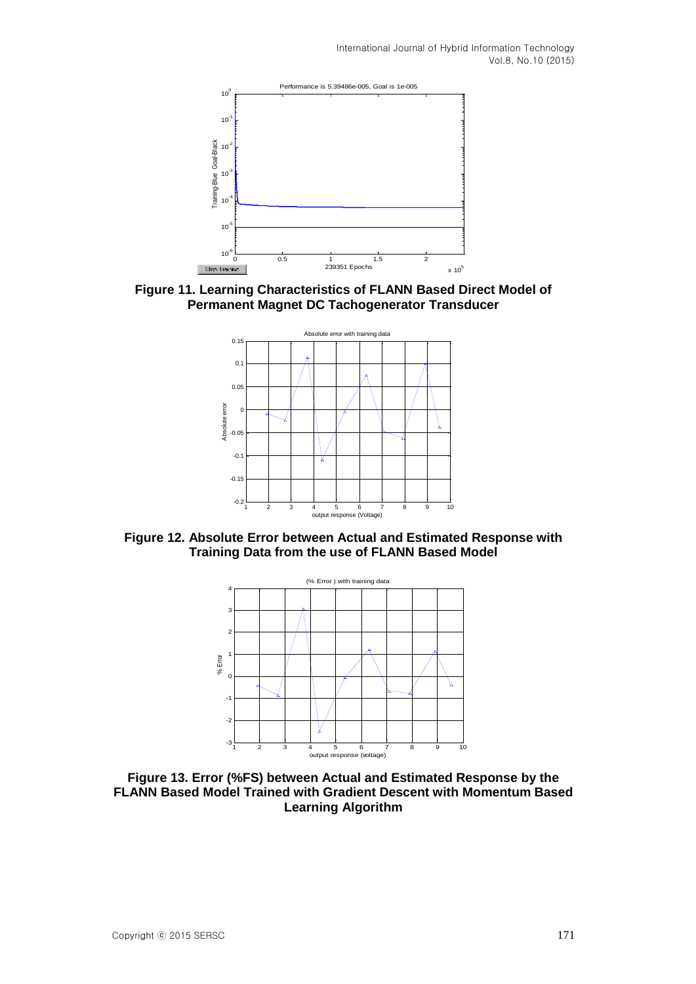

**Figure 11. Learning Characteristics of FLANN Based Direct Model of Permanent Magnet DC Tachogenerator Transducer**



**Figure 12. Absolute Error between Actual and Estimated Response with Training Data from the use of FLANN Based Model**



**Figure 13. Error (%FS) between Actual and Estimated Response by the FLANN Based Model Trained with Gradient Descent with Momentum Based Learning Algorithm**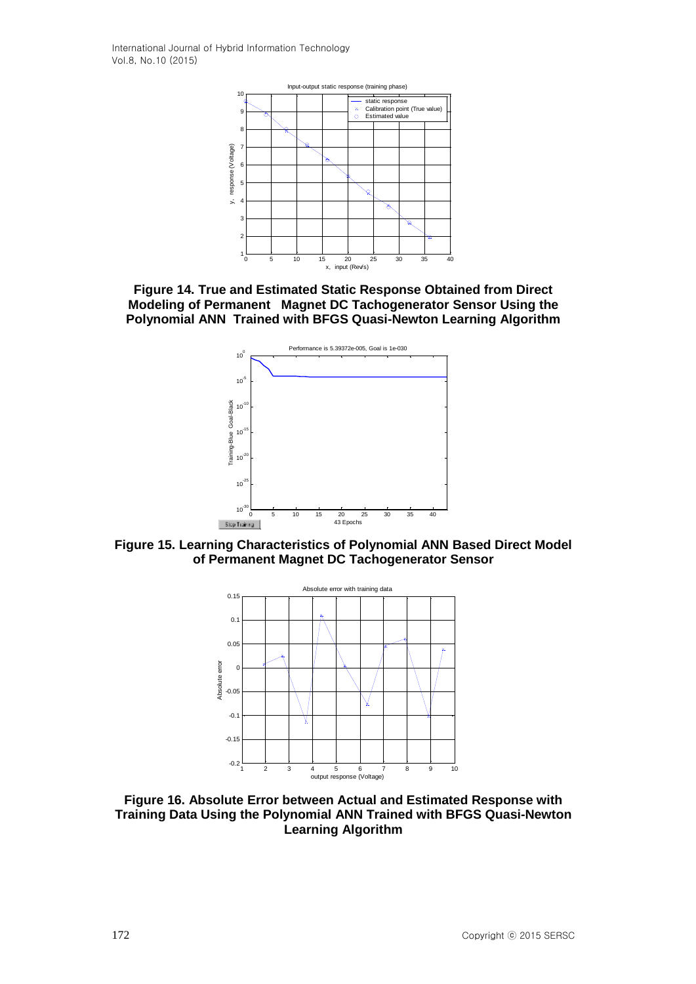

**Figure 14. True and Estimated Static Response Obtained from Direct Modeling of Permanent Magnet DC Tachogenerator Sensor Using the Polynomial ANN Trained with BFGS Quasi-Newton Learning Algorithm**



**Figure 15. Learning Characteristics of Polynomial ANN Based Direct Model of Permanent Magnet DC Tachogenerator Sensor**



**Figure 16. Absolute Error between Actual and Estimated Response with Training Data Using the Polynomial ANN Trained with BFGS Quasi-Newton Learning Algorithm**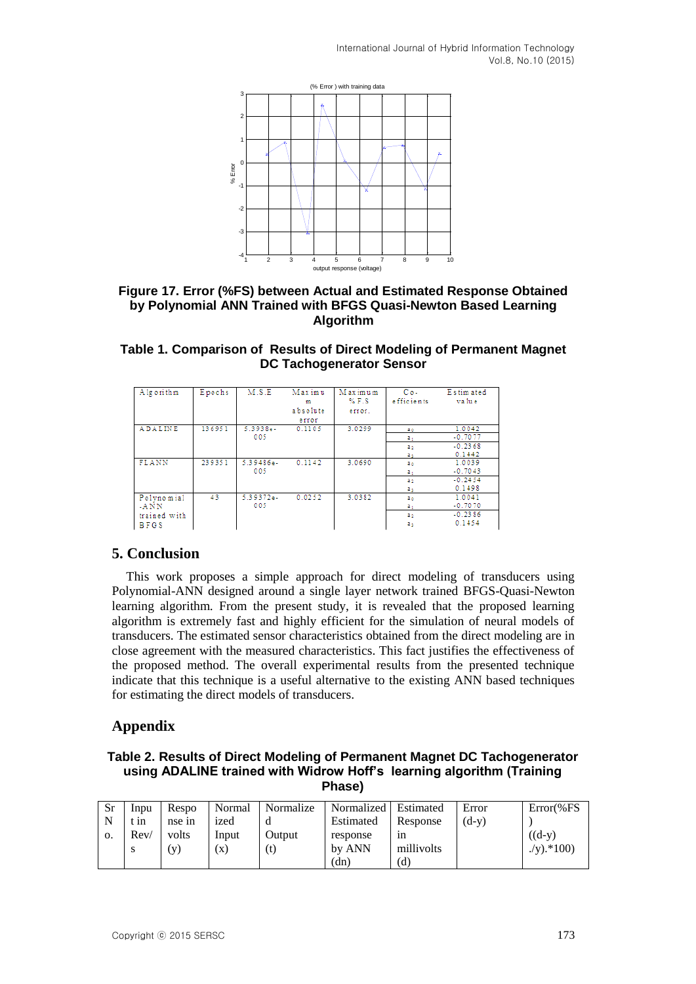

#### **Figure 17. Error (%FS) between Actual and Estimated Response Obtained by Polynomial ANN Trained with BFGS Quasi-Newton Based Learning Algorithm**

#### **Table 1. Comparison of Results of Direct Modeling of Permanent Magnet DC Tachogenerator Sensor**

| Alg orithm                                           | Epochs | M.S.E             | Maximu<br>m<br>absolute<br>error | Maximum<br>$%$ F.S<br>error. | $Co-$<br>e fficie nts             | Estimated<br>value                         |
|------------------------------------------------------|--------|-------------------|----------------------------------|------------------------------|-----------------------------------|--------------------------------------------|
| ADALINE                                              | 136951 | $5.3938e-$<br>005 | 0.1105                           | 3.0299                       | zо<br>a,<br>2.2<br>a,             | 1.0042<br>$-0.7077$<br>$-0.2368$<br>0.1442 |
| FLANN                                                | 239351 | 5.39486e-<br>005  | 0.1142                           | 3.0690                       | a s<br>a,<br>2 <sub>2</sub><br>a, | 1.0039<br>$-0.7043$<br>$-0.2454$<br>0.1498 |
| Polynomial<br>$-ANNN$<br>trained with<br><b>BFGS</b> | 43     | 5.39372e-<br>005  | 0.0252                           | 3.0382                       | Zо<br>a,<br>2.2<br>a,             | 1.0041<br>$-0.7070$<br>$-0.2386$<br>0.1454 |

## **5. Conclusion**

This work proposes a simple approach for direct modeling of transducers using Polynomial-ANN designed around a single layer network trained BFGS-Quasi-Newton learning algorithm. From the present study, it is revealed that the proposed learning algorithm is extremely fast and highly efficient for the simulation of neural models of transducers. The estimated sensor characteristics obtained from the direct modeling are in close agreement with the measured characteristics. This fact justifies the effectiveness of the proposed method. The overall experimental results from the presented technique indicate that this technique is a useful alternative to the existing ANN based techniques for estimating the direct models of transducers.

## **Appendix**

**Table 2. Results of Direct Modeling of Permanent Magnet DC Tachogenerator using ADALINE trained with Widrow Hoff's learning algorithm (Training Phase)**

| Sr | Inpu        | Respo  | Normal | Normalize                  | Normalized   Estimated |            | Error   | $Error$ %FS  |
|----|-------------|--------|--------|----------------------------|------------------------|------------|---------|--------------|
| N  | $\cdot$ 111 | nse in | 1zed   |                            | Estimated              | Response   | $(d-v)$ |              |
| 0. | Rev/        | volts  | Input  | Output                     | response               | 1n         |         | $((d-v))$    |
|    | S           | (y)    | (X)    | $\left( \mathrm{t}\right)$ | by ANN                 | millivolts |         | $(y)$ .*100) |
|    |             |        |        |                            | (dn)                   | (d)        |         |              |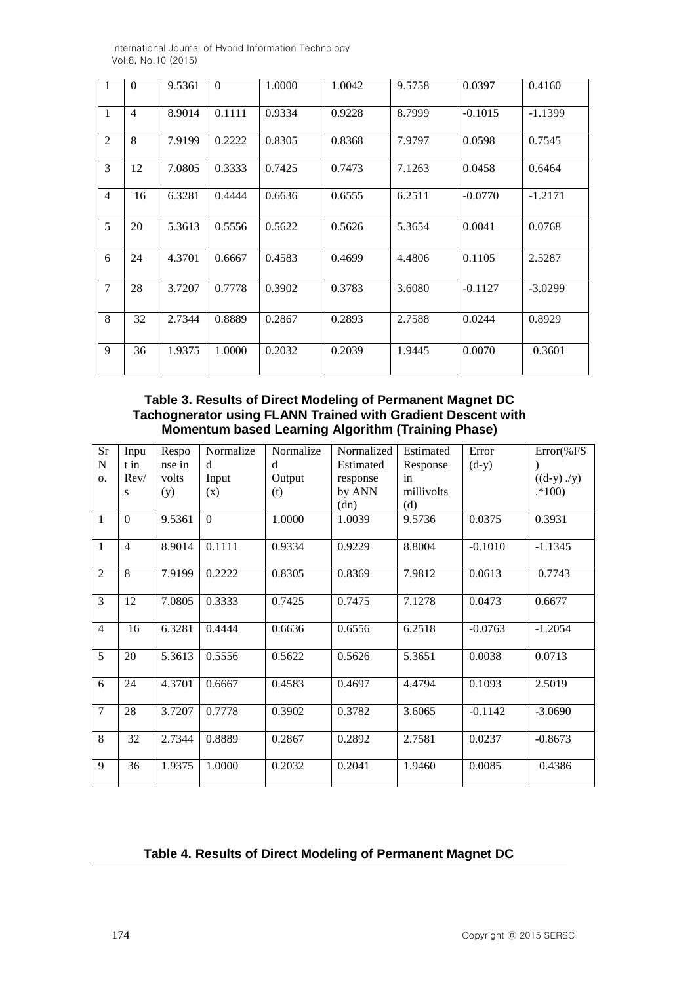| $\mathbf{1}$   | $\theta$       | 9.5361 | $\Omega$ | 1.0000 | 1.0042 | 9.5758 | 0.0397    | 0.4160    |
|----------------|----------------|--------|----------|--------|--------|--------|-----------|-----------|
| $\mathbf{1}$   | $\overline{4}$ | 8.9014 | 0.1111   | 0.9334 | 0.9228 | 8.7999 | $-0.1015$ | $-1.1399$ |
| $\overline{2}$ | 8              | 7.9199 | 0.2222   | 0.8305 | 0.8368 | 7.9797 | 0.0598    | 0.7545    |
| 3              | 12             | 7.0805 | 0.3333   | 0.7425 | 0.7473 | 7.1263 | 0.0458    | 0.6464    |
| $\overline{4}$ | 16             | 6.3281 | 0.4444   | 0.6636 | 0.6555 | 6.2511 | $-0.0770$ | $-1.2171$ |
| 5              | 20             | 5.3613 | 0.5556   | 0.5622 | 0.5626 | 5.3654 | 0.0041    | 0.0768    |
| 6              | 24             | 4.3701 | 0.6667   | 0.4583 | 0.4699 | 4.4806 | 0.1105    | 2.5287    |
| $\tau$         | 28             | 3.7207 | 0.7778   | 0.3902 | 0.3783 | 3.6080 | $-0.1127$ | $-3.0299$ |
| 8              | 32             | 2.7344 | 0.8889   | 0.2867 | 0.2893 | 2.7588 | 0.0244    | 0.8929    |
| 9              | 36             | 1.9375 | 1.0000   | 0.2032 | 0.2039 | 1.9445 | 0.0070    | 0.3601    |

**Table 3. Results of Direct Modeling of Permanent Magnet DC Tachognerator using FLANN Trained with Gradient Descent with Momentum based Learning Algorithm (Training Phase)**

| Sr             | Inpu           | Respo  | Normalize      | Normalize | Normalized | Estimated  | Error     | Error(%FS     |
|----------------|----------------|--------|----------------|-----------|------------|------------|-----------|---------------|
| N              | t in           | nse in | d              | d         | Estimated  | Response   | $(d-y)$   |               |
| 0.             | Rev/           | volts  | Input          | Output    | response   | in         |           | $((d-y)$ ./y) |
|                | S              | (y)    | (x)            | (t)       | by ANN     | millivolts |           | $.*100)$      |
|                |                |        |                |           | (dn)       | (d)        |           |               |
| $\mathbf{1}$   | $\overline{0}$ | 9.5361 | $\overline{0}$ | 1.0000    | 1.0039     | 9.5736     | 0.0375    | 0.3931        |
| $\mathbf{1}$   | $\overline{4}$ | 8.9014 | 0.1111         | 0.9334    | 0.9229     | 8.8004     | $-0.1010$ | $-1.1345$     |
| $\overline{2}$ | 8              | 7.9199 | 0.2222         | 0.8305    | 0.8369     | 7.9812     | 0.0613    | 0.7743        |
| $\overline{3}$ | 12             | 7.0805 | 0.3333         | 0.7425    | 0.7475     | 7.1278     | 0.0473    | 0.6677        |
| $\overline{4}$ | 16             | 6.3281 | 0.4444         | 0.6636    | 0.6556     | 6.2518     | $-0.0763$ | $-1.2054$     |
| 5              | 20             | 5.3613 | 0.5556         | 0.5622    | 0.5626     | 5.3651     | 0.0038    | 0.0713        |
| 6              | 24             | 4.3701 | 0.6667         | 0.4583    | 0.4697     | 4.4794     | 0.1093    | 2.5019        |
| $\overline{7}$ | 28             | 3.7207 | 0.7778         | 0.3902    | 0.3782     | 3.6065     | $-0.1142$ | $-3.0690$     |
| 8              | 32             | 2.7344 | 0.8889         | 0.2867    | 0.2892     | 2.7581     | 0.0237    | $-0.8673$     |
| 9              | 36             | 1.9375 | 1.0000         | 0.2032    | 0.2041     | 1.9460     | 0.0085    | 0.4386        |

## **Table 4. Results of Direct Modeling of Permanent Magnet DC**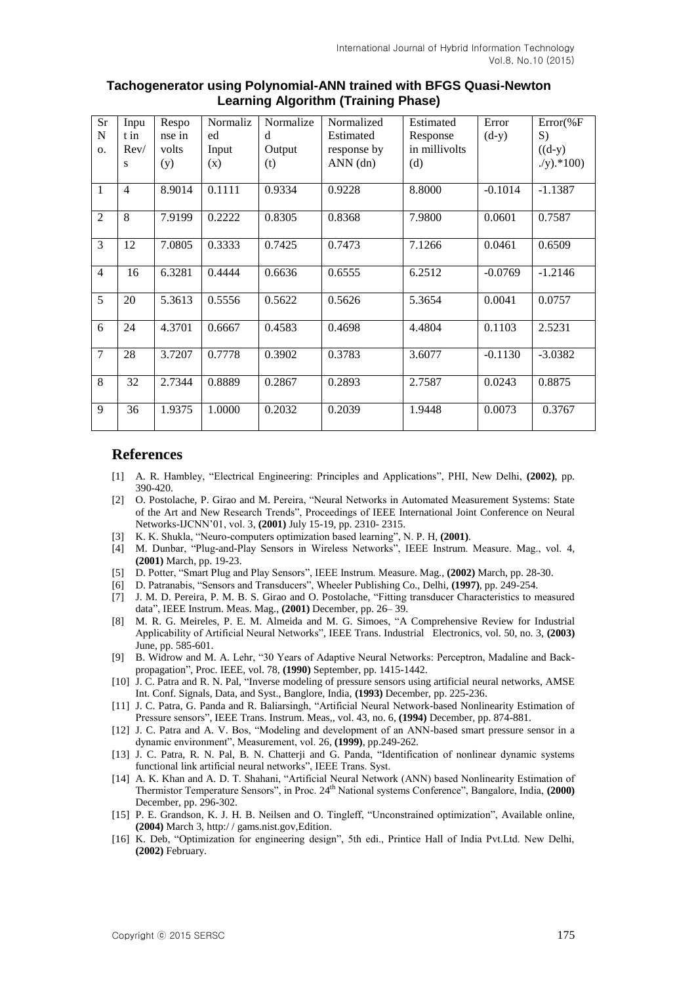| Sr             | Inpu           | Respo  | Normaliz | Normalize | Normalized  | Estimated     | Error     | $Error$ %F   |
|----------------|----------------|--------|----------|-----------|-------------|---------------|-----------|--------------|
| N              | t in           | nse in | ed       | d         | Estimated   | Response      | $(d-y)$   | S)           |
| 0.             | Rev/           | volts  | Input    | Output    | response by | in millivolts |           | $((d-y))$    |
|                | S              | (y)    | (x)      | (t)       | ANN(dn)     | (d)           |           | $(y)$ .*100) |
| 1              | $\overline{4}$ | 8.9014 | 0.1111   | 0.9334    | 0.9228      | 8.8000        | $-0.1014$ | $-1.1387$    |
| $\overline{c}$ | 8              | 7.9199 | 0.2222   | 0.8305    | 0.8368      | 7.9800        | 0.0601    | 0.7587       |
| 3              | 12             | 7.0805 | 0.3333   | 0.7425    | 0.7473      | 7.1266        | 0.0461    | 0.6509       |
| $\overline{4}$ | 16             | 6.3281 | 0.4444   | 0.6636    | 0.6555      | 6.2512        | $-0.0769$ | $-1.2146$    |
| 5              | 20             | 5.3613 | 0.5556   | 0.5622    | 0.5626      | 5.3654        | 0.0041    | 0.0757       |
| 6              | 24             | 4.3701 | 0.6667   | 0.4583    | 0.4698      | 4.4804        | 0.1103    | 2.5231       |
| $\tau$         | 28             | 3.7207 | 0.7778   | 0.3902    | 0.3783      | 3.6077        | $-0.1130$ | $-3.0382$    |
| 8              | 32             | 2.7344 | 0.8889   | 0.2867    | 0.2893      | 2.7587        | 0.0243    | 0.8875       |
| 9              | 36             | 1.9375 | 1.0000   | 0.2032    | 0.2039      | 1.9448        | 0.0073    | 0.3767       |

#### **Tachogenerator using Polynomial-ANN trained with BFGS Quasi-Newton Learning Algorithm (Training Phase)**

#### **References**

- [1] A. R. Hambley, "Electrical Engineering: Principles and Applications", PHI, New Delhi, **(2002)**, pp. 390-420.
- [2] O. Postolache, P. Girao and M. Pereira, "Neural Networks in Automated Measurement Systems: State of the Art and New Research Trends", Proceedings of IEEE International Joint Conference on Neural Networks-IJCNN'01, vol. 3, **(2001)** July 15-19, pp. 2310- 2315.
- [3] K. K. Shukla, "Neuro-computers optimization based learning", N. P. H, **(2001)**.
- [4] M. Dunbar, "Plug-and-Play Sensors in Wireless Networks", IEEE Instrum. Measure. Mag., vol. 4, **(2001)** March, pp. 19-23.
- [5] D. Potter, "Smart Plug and Play Sensors", IEEE Instrum. Measure. Mag., **(2002)** March, pp. 28-30.
- [6] D. Patranabis, "Sensors and Transducers", Wheeler Publishing Co., Delhi, **(1997)**, pp. 249-254.
- [7] J. M. D. Pereira, P. M. B. S. Girao and O. Postolache, "Fitting transducer Characteristics to measured data", IEEE Instrum. Meas. Mag., **(2001)** December, pp. 26– 39.
- [8] M. R. G. Meireles, P. E. M. Almeida and M. G. Simoes, "A Comprehensive Review for Industrial Applicability of Artificial Neural Networks", IEEE Trans. Industrial Electronics, vol. 50, no. 3, **(2003)** June, pp. 585-601.
- [9] B. Widrow and M. A. Lehr, "30 Years of Adaptive Neural Networks: Perceptron, Madaline and Backpropagation", Proc. IEEE, vol. 78, **(1990)** September, pp. 1415-1442.
- [10] J. C. Patra and R. N. Pal, "Inverse modeling of pressure sensors using artificial neural networks, AMSE Int. Conf. Signals, Data, and Syst., Banglore, India, **(1993)** December, pp. 225-236.
- [11] J. C. Patra, G. Panda and R. Baliarsingh, "Artificial Neural Network-based Nonlinearity Estimation of Pressure sensors", IEEE Trans. Instrum. Meas,, vol. 43, no. 6, **(1994)** December, pp. 874-881.
- [12] J. C. Patra and A. V. Bos, "Modeling and development of an ANN-based smart pressure sensor in a dynamic environment", Measurement, vol. 26, **(1999)**, pp.249-262.
- [13] J. C. Patra, R. N. Pal, B. N. Chatterji and G. Panda, "Identification of nonlinear dynamic systems functional link artificial neural networks", IEEE Trans. Syst.
- [14] A. K. Khan and A. D. T. Shahani, "Artificial Neural Network (ANN) based Nonlinearity Estimation of Thermistor Temperature Sensors", in Proc. 24th National systems Conference", Bangalore, India, **(2000)** December, pp. 296-302.
- [15] P. E. Grandson, K. J. H. B. Neilsen and O. Tingleff, "Unconstrained optimization", Available online, **(2004)** March 3, http:/ / gams.nist.gov,Edition.
- [16] K. Deb, "Optimization for engineering design", 5th edi., Printice Hall of India Pvt.Ltd. New Delhi, **(2002)** February.